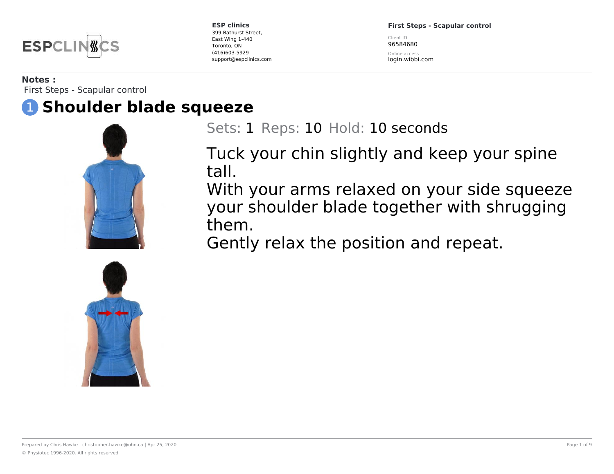

**First Steps - Scapular control**

Client ID 96584680

Online access login.wibbi.com

#### **Notes :**

First Steps - Scapular control

## 1 **Shoulder blade squeeze**



Sets: 1 Reps: 10 Hold: 10 seconds

Tuck your chin slightly and keep your spine tall.

With your arms relaxed on your side squeeze your shoulder blade together with shrugging them.

Gently relax the position and repeat.

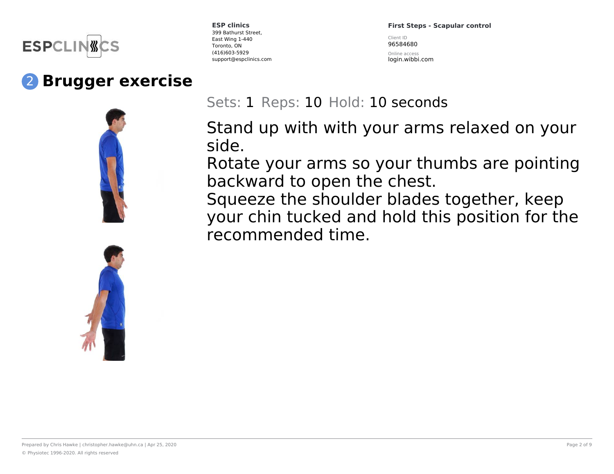

# 2 **Brugger exercise**





**ESP clinics** 399 Bathurst Street, East Wing 1-440 Toronto, ON (416)603-5929 support@espclinics.com **First Steps - Scapular control**

Client ID 96584680

Online access login.wibbi.com

## Sets: 1 Reps: 10 Hold: 10 seconds

Stand up with with your arms relaxed on your side.

Rotate your arms so your thumbs are pointing backward to open the chest.

Squeeze the shoulder blades together, keep your chin tucked and hold this position for the recommended time.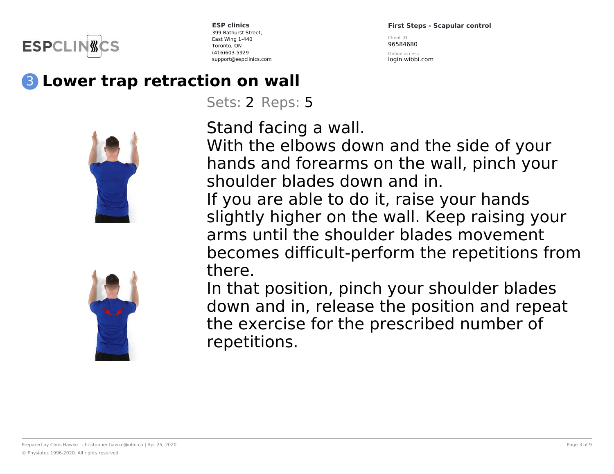

**First Steps - Scapular control** Client ID 96584680

Online access login.wibbi.com

# 3 **Lower trap retraction on wall**

Sets: 2 Reps: 5



Stand facing a wall.

With the elbows down and the side of your hands and forearms on the wall, pinch your shoulder blades down and in.

If you are able to do it, raise your hands slightly higher on the wall. Keep raising your arms until the shoulder blades movement becomes difficult-perform the repetitions from there.

In that position, pinch your shoulder blades down and in, release the position and repeat the exercise for the prescribed number of repetitions.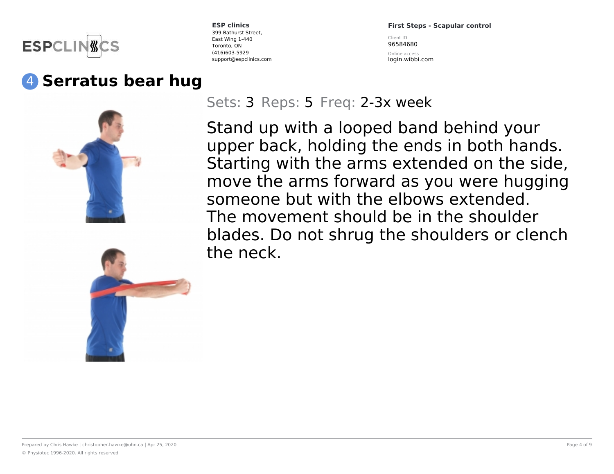

## 4 **Serratus bear hug**

**ESP clinics** 399 Bathurst Street, East Wing 1-440 Toronto, ON (416)603-5929 support@espclinics.com **First Steps - Scapular control**

Client ID 96584680 Online access login.wibbi.com

Sets: 3 Reps: 5 Freq: 2-3x week

Stand up with a looped band behind your upper back, holding the ends in both hands. Starting with the arms extended on the side, move the arms forward as you were hugging someone but with the elbows extended. The movement should be in the shoulder blades. Do not shrug the shoulders or clench the neck.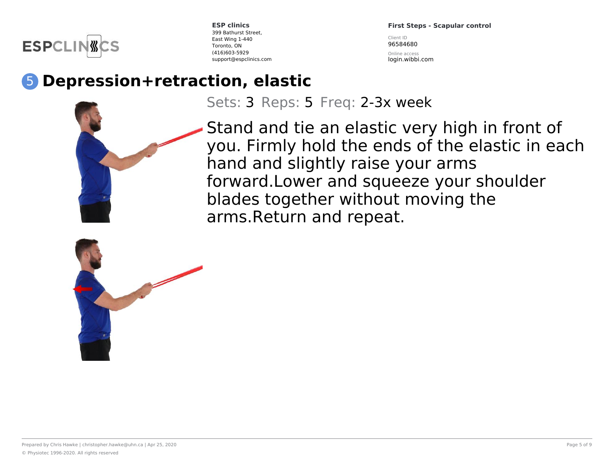

**First Steps - Scapular control**

Client ID 96584680 Online access

login.wibbi.com

# 5 **Depression+retraction, elastic**

Sets: 3 Reps: 5 Freq: 2-3x week

Stand and tie an elastic very high in front of you. Firmly hold the ends of the elastic in each hand and slightly raise your arms forward.Lower and squeeze your shoulder blades together without moving the arms.Return and repeat.

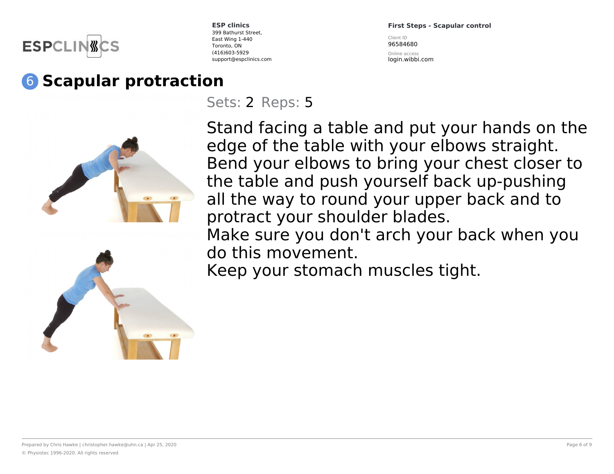

**First Steps - Scapular control** Client ID

96584680

Online access login.wibbi.com

# 6 **Scapular protraction**

Sets: 2 Reps: 5



Stand facing a table and put your hands on the edge of the table with your elbows straight. Bend your elbows to bring your chest closer to the table and push yourself back up-pushing all the way to round your upper back and to protract your shoulder blades. Make sure you don't arch your back when you do this movement.

Keep your stomach muscles tight.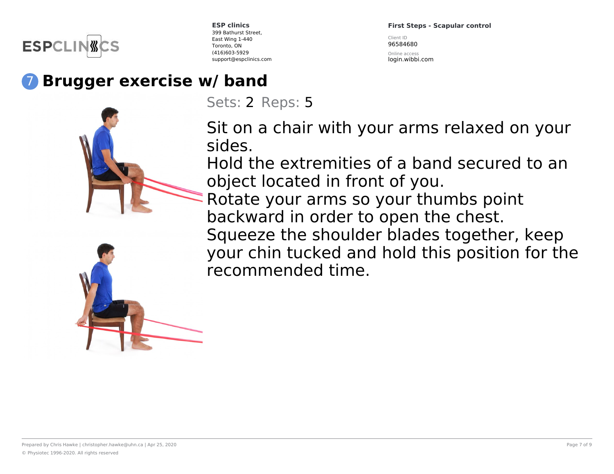

**First Steps - Scapular control** Client ID 96584680

Online access login.wibbi.com

# 7 **Brugger exercise w/ band**





Sets: 2 Reps: 5

Sit on a chair with your arms relaxed on your sides.

Hold the extremities of a band secured to an object located in front of you.

Rotate your arms so your thumbs point backward in order to open the chest. Squeeze the shoulder blades together, keep your chin tucked and hold this position for the recommended time.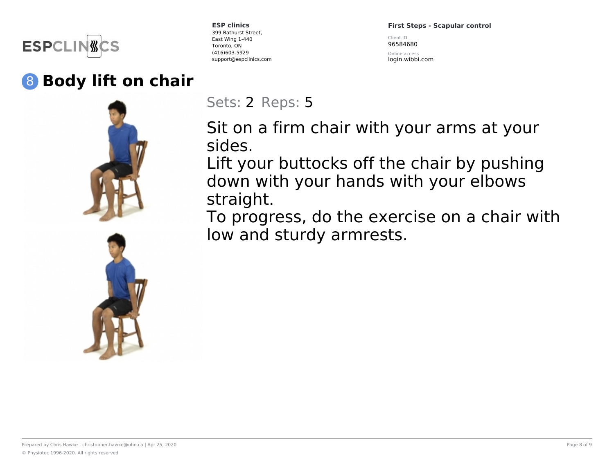

# 8 **Body lift on chair**



**ESP clinics** 399 Bathurst Street, East Wing 1-440 Toronto, ON (416)603-5929 support@espclinics.com **First Steps - Scapular control**

Client ID 96584680

Online access login.wibbi.com

Sets: 2 Reps: 5

Sit on a firm chair with your arms at your sides.

Lift your buttocks off the chair by pushing down with your hands with your elbows straight.

To progress, do the exercise on a chair with low and sturdy armrests.